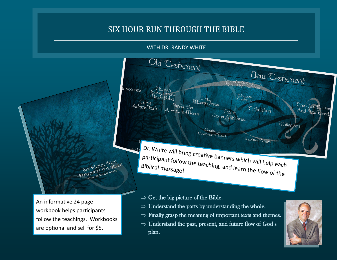## SIX HOUR RUN THROUGH THE BIBLE

WITH DR. RANDY WHITE



An informative 24 page workbook helps participants follow the teachings. Workbooks are optional and sell for \$5.

- $\Rightarrow$  Get the big picture of the Bible.
- $\Rightarrow$  Understand the parts by understanding the whole.
- $\Rightarrow$  Finally grasp the meaning of important texts and themes.
- $\Rightarrow$  Understand the past, present, and future flow of God's plan.